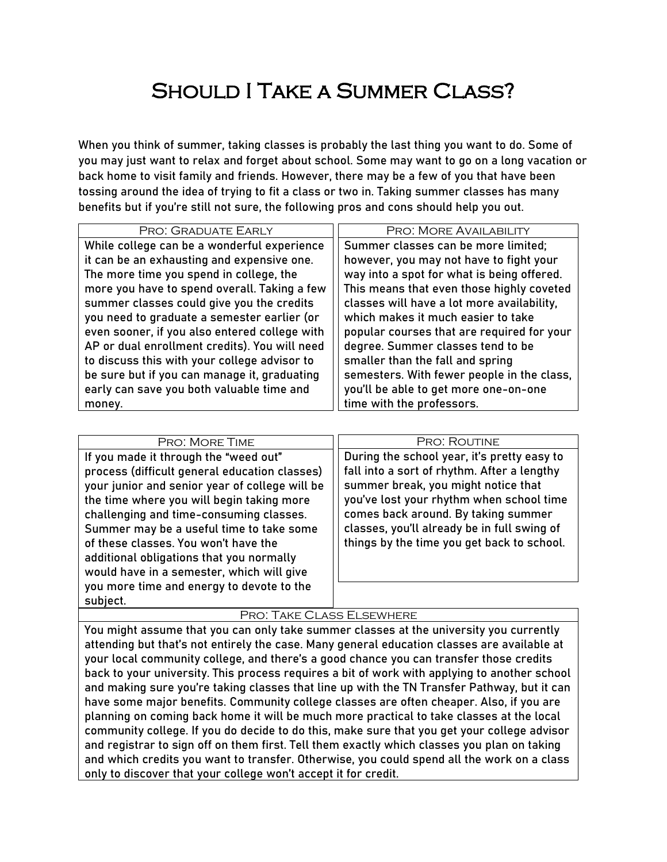# Should I Take a Summer Class?

When you think of summer, taking classes is probably the last thing you want to do. Some of you may just want to relax and forget about school. Some may want to go on a long vacation or back home to visit family and friends. However, there may be a few of you that have been tossing around the idea of trying to fit a class or two in. Taking summer classes has many benefits but if you're still not sure, the following pros and cons should help you out.

| PRO: GRADUATE EARLY                           | PRO: MORE AVAILABILITY                     |
|-----------------------------------------------|--------------------------------------------|
| While college can be a wonderful experience   | Summer classes can be more limited;        |
| it can be an exhausting and expensive one.    | however, you may not have to fight your    |
| The more time you spend in college, the       | way into a spot for what is being offered. |
| more you have to spend overall. Taking a few  | This means that even those highly coveted  |
| summer classes could give you the credits     | classes will have a lot more availability, |
| you need to graduate a semester earlier (or   | which makes it much easier to take         |
| even sooner, if you also entered college with | popular courses that are required for your |
| AP or dual enrollment credits). You will need | degree. Summer classes tend to be          |
| to discuss this with your college advisor to  | smaller than the fall and spring           |
| be sure but if you can manage it, graduating  | semesters. With fewer people in the class, |
| early can save you both valuable time and     | you'll be able to get more one-on-one      |
| money.                                        | time with the professors.                  |

| PRO: MORE TIME                                                                                                                                                                                                                                                                                                                                                                                                                                                         | <b>PRO: ROUTINE</b>                                                                                                                                                                                                                                                                                               |
|------------------------------------------------------------------------------------------------------------------------------------------------------------------------------------------------------------------------------------------------------------------------------------------------------------------------------------------------------------------------------------------------------------------------------------------------------------------------|-------------------------------------------------------------------------------------------------------------------------------------------------------------------------------------------------------------------------------------------------------------------------------------------------------------------|
| If you made it through the "weed out"<br>process (difficult general education classes)<br>your junior and senior year of college will be<br>the time where you will begin taking more<br>challenging and time-consuming classes.<br>Summer may be a useful time to take some<br>of these classes. You won't have the<br>additional obligations that you normally<br>would have in a semester, which will give<br>you more time and energy to devote to the<br>subject. | During the school year, it's pretty easy to<br>fall into a sort of rhythm. After a lengthy<br>summer break, you might notice that<br>you've lost your rhythm when school time<br>comes back around. By taking summer<br>classes, you'll already be in full swing of<br>things by the time you get back to school. |

### Pro: Take Class Elsewhere

You might assume that you can only take summer classes at the university you currently attending but that's not entirely the case. Many general education classes are available at your local community college, and there's a good chance you can transfer those credits back to your university. This process requires a bit of work with applying to another school and making sure you're taking classes that line up with the TN Transfer Pathway, but it can have some major benefits. Community college classes are often cheaper. Also, if you are planning on coming back home it will be much more practical to take classes at the local community college. If you do decide to do this, make sure that you get your college advisor and registrar to sign off on them first. Tell them exactly which classes you plan on taking and which credits you want to transfer. Otherwise, you could spend all the work on a class only to discover that your college won't accept it for credit.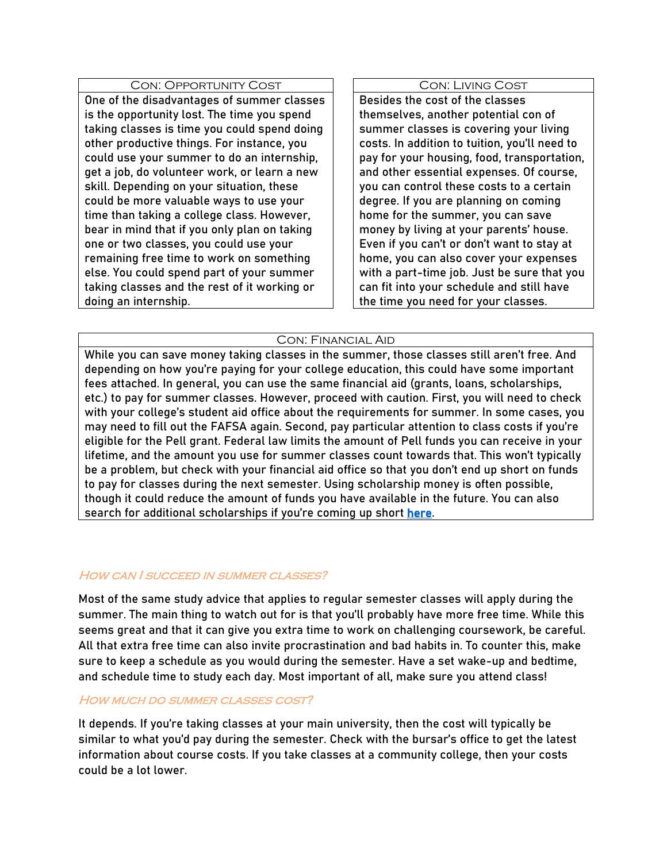# Con: Opportunity Cost

One of the disadvantages of summer classes is the opportunity lost. The time you spend taking classes is time you could spend doing other productive things. For instance, you could use your summer to do an internship, get a job, do volunteer work, or learn a new skill. Depending on your situation, these could be more valuable ways to use your time than taking a college class. However, bear in mind that if you only plan on taking one or two classes, you could use your remaining free time to work on something else. You could spend part of your summer taking classes and the rest of it working or doing an internship.

#### Con: Living Cost

Besides the cost of the classes themselves, another potential con of summer classes is covering your living costs. In addition to tuition, you'll need to pay for your housing, food, transportation, and other essential expenses. Of course, you can control these costs to a certain degree. If you are planning on coming home for the summer, you can save money by living at your parents' house. Even if you can't or don't want to stay at home, you can also cover your expenses with a part-time job. Just be sure that you can fit into your schedule and still have the time you need for your classes.

## Con: Financial Aid

While you can save money taking classes in the summer, those classes still aren't free. And depending on how you're paying for your college education, this could have some important fees attached. In general, you can use the same financial aid (grants, loans, scholarships, etc.) to pay for summer classes. However, proceed with caution. First, you will need to check with your college's student aid office about the requirements for summer. In some cases, you may need to fill out the FAFSA again. Second, pay particular attention to class costs if you're eligible for the Pell grant. Federal law limits the amount of Pell funds you can receive in your lifetime, and the amount you use for summer classes count towards that. This won't typically be a problem, but check with your financial aid office so that you don't end up short on funds to pay for classes during the next semester. Using scholarship money is often possible, though it could reduce the amount of funds you have available in the future. You can also search for additional scholarships if you're coming up short [here.](https://www.trio-dcea.org/ubscholarships)

## HOW CAN I SUCCEED IN SUMMER CLASSES?

Most of the same study advice that applies to regular semester classes will apply during the summer. The main thing to watch out for is that you'll probably have more free time. While this seems great and that it can give you extra time to work on challenging coursework, be careful. All that extra free time can also invite procrastination and bad habits in. To counter this, make sure to keep a schedule as you would during the semester. Have a set wake-up and bedtime, and schedule time to study each day. Most important of all, make sure you attend class!

# HOW MUCH DO SUMMER CLASSES COST?

It depends. If you're taking classes at your main university, then the cost will typically be similar to what you'd pay during the semester. Check with the bursar's office to get the latest information about course costs. If you take classes at a community college, then your costs could be a lot lower.